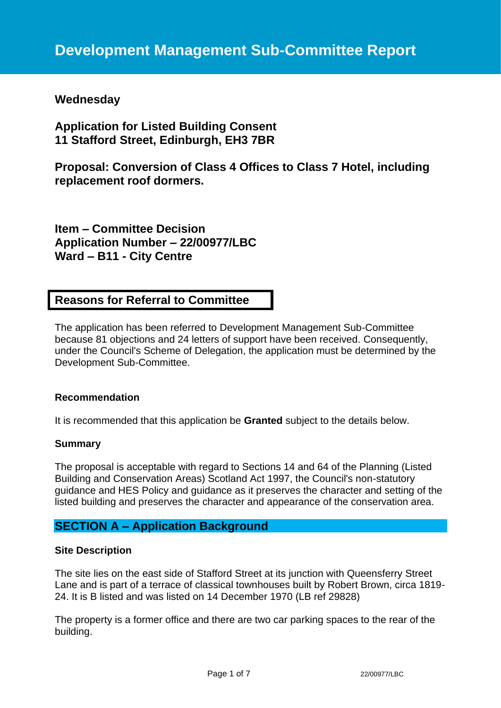# **Wednesday**

**Application for Listed Building Consent 11 Stafford Street, Edinburgh, EH3 7BR**

**Proposal: Conversion of Class 4 Offices to Class 7 Hotel, including replacement roof dormers.**

**Item – Committee Decision Application Number – 22/00977/LBC Ward – B11 - City Centre**

## **Reasons for Referral to Committee**

The application has been referred to Development Management Sub-Committee because 81 objections and 24 letters of support have been received. Consequently, under the Council's Scheme of Delegation, the application must be determined by the Development Sub-Committee.

### **Recommendation**

It is recommended that this application be **Granted** subject to the details below.

#### **Summary**

The proposal is acceptable with regard to Sections 14 and 64 of the Planning (Listed Building and Conservation Areas) Scotland Act 1997, the Council's non-statutory guidance and HES Policy and guidance as it preserves the character and setting of the listed building and preserves the character and appearance of the conservation area.

## **SECTION A – Application Background**

#### **Site Description**

The site lies on the east side of Stafford Street at its junction with Queensferry Street Lane and is part of a terrace of classical townhouses built by Robert Brown, circa 1819- 24. It is B listed and was listed on 14 December 1970 (LB ref 29828)

The property is a former office and there are two car parking spaces to the rear of the building.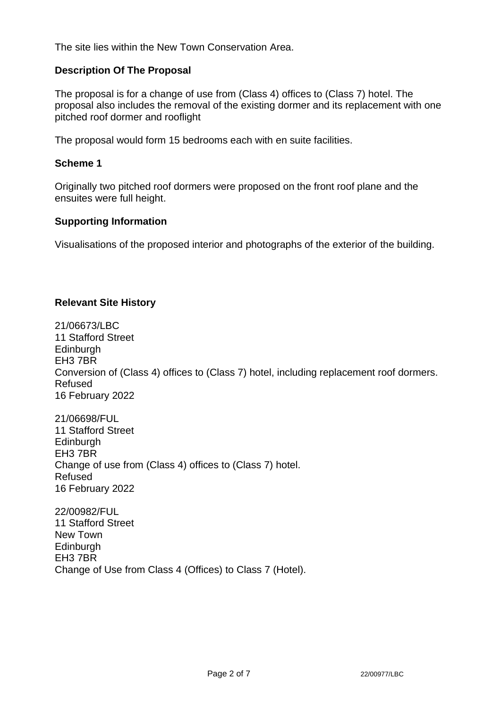The site lies within the New Town Conservation Area.

### **Description Of The Proposal**

The proposal is for a change of use from (Class 4) offices to (Class 7) hotel. The proposal also includes the removal of the existing dormer and its replacement with one pitched roof dormer and rooflight

The proposal would form 15 bedrooms each with en suite facilities.

#### **Scheme 1**

Originally two pitched roof dormers were proposed on the front roof plane and the ensuites were full height.

#### **Supporting Information**

Visualisations of the proposed interior and photographs of the exterior of the building.

### **Relevant Site History**

21/06673/LBC 11 Stafford Street **Edinburgh** EH3 7BR Conversion of (Class 4) offices to (Class 7) hotel, including replacement roof dormers. Refused 16 February 2022

21/06698/FUL 11 Stafford Street **Edinburgh** EH3 7BR Change of use from (Class 4) offices to (Class 7) hotel. Refused 16 February 2022

22/00982/FUL 11 Stafford Street New Town Edinburgh EH3 7BR Change of Use from Class 4 (Offices) to Class 7 (Hotel).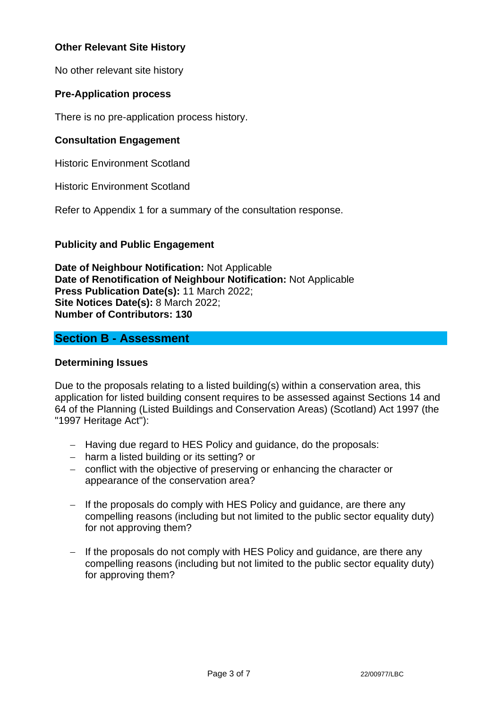## **Other Relevant Site History**

No other relevant site history

## **Pre-Application process**

There is no pre-application process history.

## **Consultation Engagement**

Historic Environment Scotland

Historic Environment Scotland

Refer to Appendix 1 for a summary of the consultation response.

### **Publicity and Public Engagement**

**Date of Neighbour Notification:** Not Applicable **Date of Renotification of Neighbour Notification:** Not Applicable **Press Publication Date(s):** 11 March 2022; **Site Notices Date(s):** 8 March 2022; **Number of Contributors: 130**

## **Section B - Assessment**

### **Determining Issues**

Due to the proposals relating to a listed building(s) within a conservation area, this application for listed building consent requires to be assessed against Sections 14 and 64 of the Planning (Listed Buildings and Conservation Areas) (Scotland) Act 1997 (the "1997 Heritage Act"):

- − Having due regard to HES Policy and guidance, do the proposals:
- − harm a listed building or its setting? or
- − conflict with the objective of preserving or enhancing the character or appearance of the conservation area?
- − If the proposals do comply with HES Policy and quidance, are there any compelling reasons (including but not limited to the public sector equality duty) for not approving them?
- − If the proposals do not comply with HES Policy and guidance, are there any compelling reasons (including but not limited to the public sector equality duty) for approving them?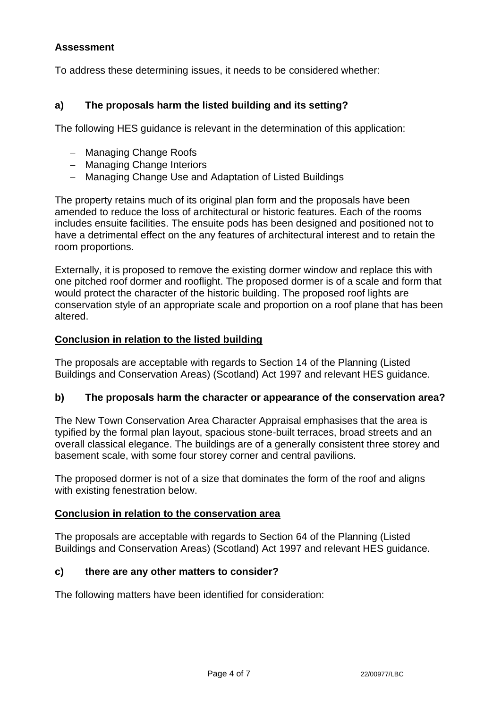### **Assessment**

To address these determining issues, it needs to be considered whether:

## **a) The proposals harm the listed building and its setting?**

The following HES guidance is relevant in the determination of this application:

- − Managing Change Roofs
- − Managing Change Interiors
- − Managing Change Use and Adaptation of Listed Buildings

The property retains much of its original plan form and the proposals have been amended to reduce the loss of architectural or historic features. Each of the rooms includes ensuite facilities. The ensuite pods has been designed and positioned not to have a detrimental effect on the any features of architectural interest and to retain the room proportions.

Externally, it is proposed to remove the existing dormer window and replace this with one pitched roof dormer and rooflight. The proposed dormer is of a scale and form that would protect the character of the historic building. The proposed roof lights are conservation style of an appropriate scale and proportion on a roof plane that has been altered.

### **Conclusion in relation to the listed building**

The proposals are acceptable with regards to Section 14 of the Planning (Listed Buildings and Conservation Areas) (Scotland) Act 1997 and relevant HES guidance.

### **b) The proposals harm the character or appearance of the conservation area?**

The New Town Conservation Area Character Appraisal emphasises that the area is typified by the formal plan layout, spacious stone-built terraces, broad streets and an overall classical elegance. The buildings are of a generally consistent three storey and basement scale, with some four storey corner and central pavilions.

The proposed dormer is not of a size that dominates the form of the roof and aligns with existing fenestration below.

### **Conclusion in relation to the conservation area**

The proposals are acceptable with regards to Section 64 of the Planning (Listed Buildings and Conservation Areas) (Scotland) Act 1997 and relevant HES guidance.

## **c) there are any other matters to consider?**

The following matters have been identified for consideration: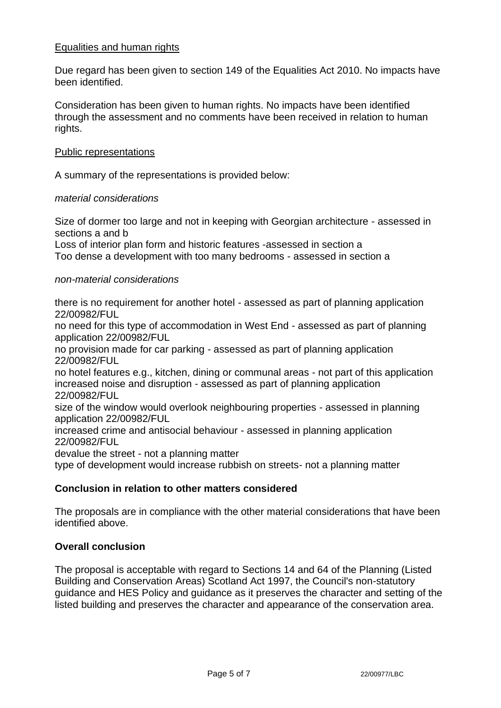### Equalities and human rights

Due regard has been given to section 149 of the Equalities Act 2010. No impacts have been identified.

Consideration has been given to human rights. No impacts have been identified through the assessment and no comments have been received in relation to human rights.

#### Public representations

A summary of the representations is provided below:

#### *material considerations*

Size of dormer too large and not in keeping with Georgian architecture - assessed in sections a and b

Loss of interior plan form and historic features -assessed in section a Too dense a development with too many bedrooms - assessed in section a

#### *non-material considerations*

there is no requirement for another hotel - assessed as part of planning application 22/00982/FUL

no need for this type of accommodation in West End - assessed as part of planning application 22/00982/FUL

no provision made for car parking - assessed as part of planning application 22/00982/FUL

no hotel features e.g., kitchen, dining or communal areas - not part of this application increased noise and disruption - assessed as part of planning application 22/00982/FUL

size of the window would overlook neighbouring properties - assessed in planning application 22/00982/FUL

increased crime and antisocial behaviour - assessed in planning application 22/00982/FUL

devalue the street - not a planning matter

type of development would increase rubbish on streets- not a planning matter

### **Conclusion in relation to other matters considered**

The proposals are in compliance with the other material considerations that have been identified above.

#### **Overall conclusion**

The proposal is acceptable with regard to Sections 14 and 64 of the Planning (Listed Building and Conservation Areas) Scotland Act 1997, the Council's non-statutory guidance and HES Policy and guidance as it preserves the character and setting of the listed building and preserves the character and appearance of the conservation area.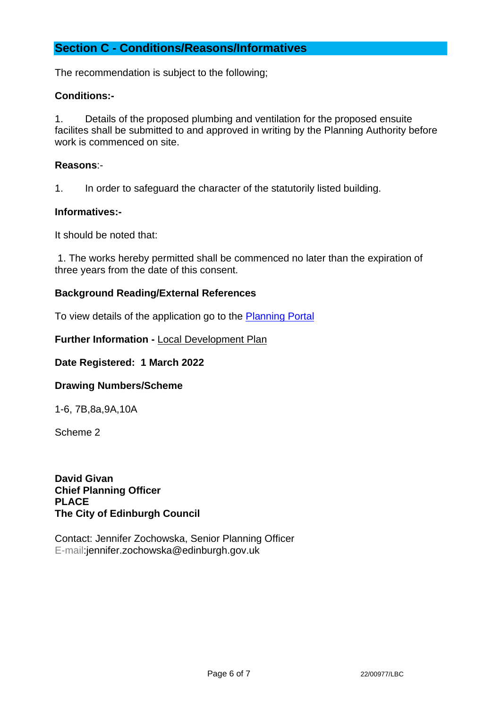## **Section C - Conditions/Reasons/Informatives**

The recommendation is subject to the following;

### **Conditions:-**

1. Details of the proposed plumbing and ventilation for the proposed ensuite facilites shall be submitted to and approved in writing by the Planning Authority before work is commenced on site.

### **Reasons**:-

1. In order to safeguard the character of the statutorily listed building.

### **Informatives:-**

It should be noted that:

1. The works hereby permitted shall be commenced no later than the expiration of three years from the date of this consent.

### **Background Reading/External References**

To view details of the application go to the [Planning Portal](https://citydev-portal.edinburgh.gov.uk/idoxpa-web/applicationDetails.do?activeTab=summary&keyVal=R82535EWJST00)

**Further Information -** [Local Development Plan](https://www.edinburgh.gov.uk/local-development-plan-guidance-1/edinburgh-local-development-plan/1)

### **Date Registered: 1 March 2022**

### **Drawing Numbers/Scheme**

1-6, 7B,8a,9A,10A

Scheme 2

**David Givan Chief Planning Officer PLACE The City of Edinburgh Council**

Contact: Jennifer Zochowska, Senior Planning Officer E-mail:jennifer.zochowska@edinburgh.gov.uk